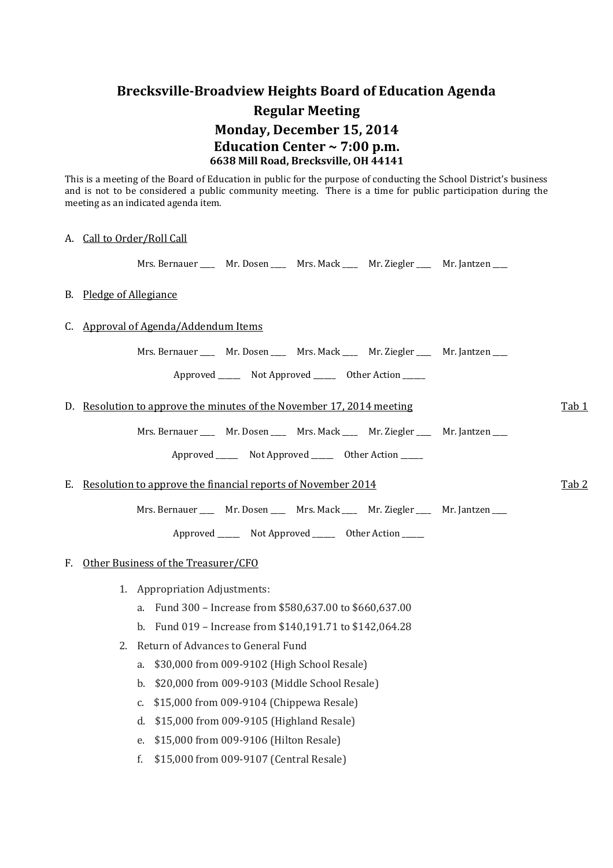# **Brecksville-Broadview Heights Board of Education Agenda Regular Meeting Monday, December 15, 2014 Education Center ~ 7:00 p.m. 6638 Mill Road, Brecksville, OH 44141**

This is a meeting of the Board of Education in public for the purpose of conducting the School District's business and is not to be considered a public community meeting. There is a time for public participation during the meeting as an indicated agenda item.

# A. Call to Order/Roll Call

Mrs. Bernauer \_\_\_\_ Mr. Dosen \_\_\_\_ Mrs. Mack \_\_\_\_ Mr. Ziegler \_\_\_ Mr. Jantzen \_\_\_

# B. Pledge of Allegiance

# C. Approval of Agenda/Addendum Items

Mrs. Bernauer \_\_\_\_ Mr. Dosen \_\_\_ Mrs. Mack \_\_\_ Mr. Ziegler \_\_\_ Mr. Jantzen \_\_\_

Approved Not Approved Other Action

| D. Resolution to approve the minutes of the November 17, 2014 meeting                 |       |  |
|---------------------------------------------------------------------------------------|-------|--|
| Mrs. Bernauer _____ Mr. Dosen _____ Mrs. Mack _____ Mr. Ziegler ____ Mr. Jantzen ____ |       |  |
| Approved ________ Not Approved ________ Other Action ______                           |       |  |
| E. Resolution to approve the financial reports of November 2014                       | Tab 2 |  |

Mrs. Bernauer \_\_\_\_ Mr. Dosen \_\_\_ Mrs. Mack \_\_\_ Mr. Ziegler \_\_\_ Mr. Jantzen \_\_\_

Approved \_\_\_\_\_\_\_\_ Not Approved \_\_\_\_\_\_\_ Other Action \_\_\_\_\_

# F. Other Business of the Treasurer/CFO

- 1. Appropriation Adjustments:
	- a. Fund 300 Increase from \$580,637.00 to \$660,637.00
	- b. Fund 019 Increase from \$140,191.71 to \$142,064.28
- 2. Return of Advances to General Fund
	- a. \$30,000 from 009-9102 (High School Resale)
	- b. \$20,000 from 009-9103 (Middle School Resale)
	- c. \$15,000 from 009-9104 (Chippewa Resale)
	- d. \$15,000 from 009-9105 (Highland Resale)
	- e. \$15,000 from 009-9106 (Hilton Resale)
	- f. \$15,000 from 009-9107 (Central Resale)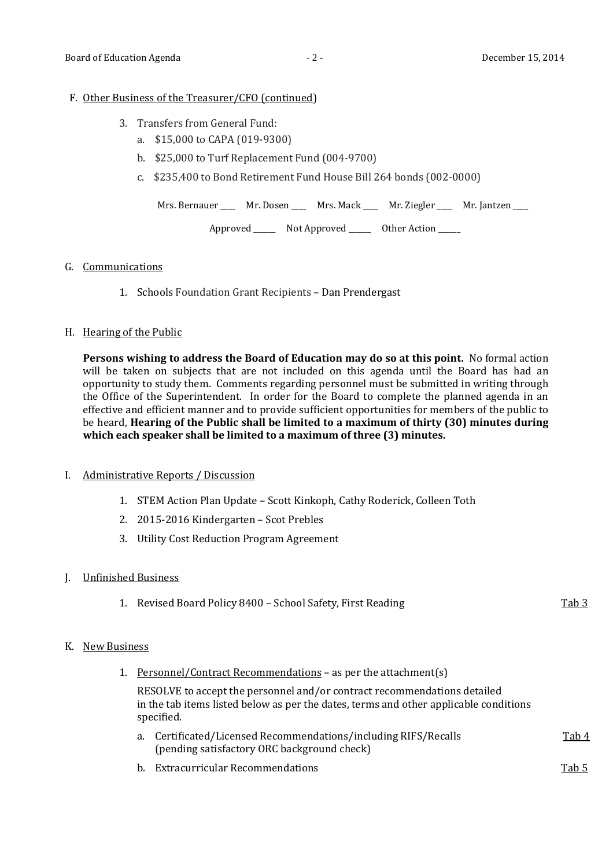#### F. Other Business of the Treasurer/CFO (continued)

- 3. Transfers from General Fund:
	- a. \$15,000 to CAPA (019-9300)
	- b. \$25,000 to Turf Replacement Fund (004-9700)
	- c. \$235,400 to Bond Retirement Fund House Bill 264 bonds (002-0000)

Mrs. Bernauer \_\_\_\_ Mr. Dosen \_\_\_\_ Mrs. Mack \_\_\_ Mr. Ziegler \_\_\_ Mr. Jantzen \_\_\_

Approved \_\_\_\_\_\_ Not Approved \_\_\_\_\_\_ Other Action \_\_\_\_\_\_

#### G. Communications

1. Schools Foundation Grant Recipients – Dan Prendergast

#### H. Hearing of the Public

**Persons wishing to address the Board of Education may do so at this point.** No formal action will be taken on subjects that are not included on this agenda until the Board has had an opportunity to study them. Comments regarding personnel must be submitted in writing through the Office of the Superintendent. In order for the Board to complete the planned agenda in an effective and efficient manner and to provide sufficient opportunities for members of the public to be heard, **Hearing of the Public shall be limited to a maximum of thirty (30) minutes during which each speaker shall be limited to a maximum of three (3) minutes.**

# I. Administrative Reports / Discussion

- 1. STEM Action Plan Update Scott Kinkoph, Cathy Roderick, Colleen Toth
- 2. 2015-2016 Kindergarten Scot Prebles
- 3. Utility Cost Reduction Program Agreement

# J. Unfinished Business

1. Revised Board Policy 8400 – School Safety, First Reading Tab 3

# K. New Business

1. Personnel/Contract Recommendations – as per the attachment(s)

RESOLVE to accept the personnel and/or contract recommendations detailed in the tab items listed below as per the dates, terms and other applicable conditions specified.

- a. Certificated/Licensed Recommendations/including RIFS/Recalls Tab 4 (pending satisfactory ORC background check)
- b. Extracurricular Recommendations Tab 5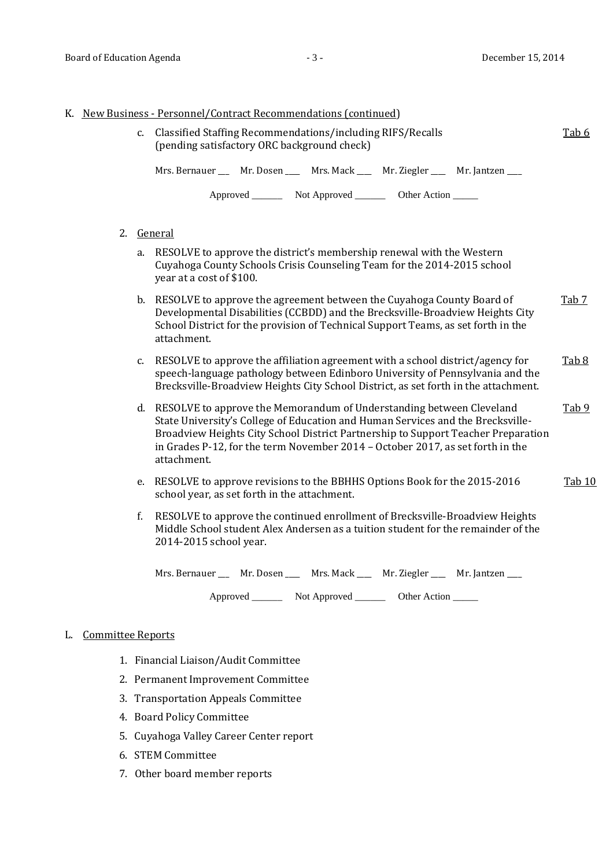|  |            | K. New Business - Personnel/Contract Recommendations (continued)                                                                                                                                                                                                                                                                                 |                  |
|--|------------|--------------------------------------------------------------------------------------------------------------------------------------------------------------------------------------------------------------------------------------------------------------------------------------------------------------------------------------------------|------------------|
|  |            | c. Classified Staffing Recommendations/including RIFS/Recalls<br>(pending satisfactory ORC background check)                                                                                                                                                                                                                                     | Tab 6            |
|  |            | Mrs. Bernauer ____ Mr. Dosen _____ Mrs. Mack _____ Mr. Ziegler _____ Mr. Jantzen ____                                                                                                                                                                                                                                                            |                  |
|  |            | Approved ___________ Not Approved ____________ Other Action _______                                                                                                                                                                                                                                                                              |                  |
|  | 2. General |                                                                                                                                                                                                                                                                                                                                                  |                  |
|  | a.         | RESOLVE to approve the district's membership renewal with the Western<br>Cuyahoga County Schools Crisis Counseling Team for the 2014-2015 school<br>year at a cost of \$100.                                                                                                                                                                     |                  |
|  |            | b. RESOLVE to approve the agreement between the Cuyahoga County Board of<br>Developmental Disabilities (CCBDD) and the Brecksville-Broadview Heights City<br>School District for the provision of Technical Support Teams, as set forth in the<br>attachment.                                                                                    | Tab <sub>7</sub> |
|  | C.         | RESOLVE to approve the affiliation agreement with a school district/agency for<br>speech-language pathology between Edinboro University of Pennsylvania and the<br>Brecksville-Broadview Heights City School District, as set forth in the attachment.                                                                                           | Tab <sub>8</sub> |
|  |            | d. RESOLVE to approve the Memorandum of Understanding between Cleveland<br>State University's College of Education and Human Services and the Brecksville-<br>Broadview Heights City School District Partnership to Support Teacher Preparation<br>in Grades P-12, for the term November 2014 - October 2017, as set forth in the<br>attachment. | Tab $9$          |
|  | e.         | RESOLVE to approve revisions to the BBHHS Options Book for the 2015-2016<br>school year, as set forth in the attachment.                                                                                                                                                                                                                         | Tab 10           |
|  | f.         | RESOLVE to approve the continued enrollment of Brecksville-Broadview Heights<br>Middle School student Alex Andersen as a tuition student for the remainder of the<br>2014-2015 school year.                                                                                                                                                      |                  |
|  |            |                                                                                                                                                                                                                                                                                                                                                  |                  |

Mrs. Bernauer \_\_\_ Mr. Dosen \_\_\_ Mrs. Mack \_\_\_ Mr. Ziegler \_\_\_ Mr. Jantzen \_\_\_

Approved \_\_\_\_\_\_\_\_\_ Not Approved \_\_\_\_\_\_\_\_\_ Other Action \_\_\_\_\_\_

# L. Committee Reports

- 1. Financial Liaison/Audit Committee
- 2. Permanent Improvement Committee
- 3. Transportation Appeals Committee
- 4. Board Policy Committee
- 5. Cuyahoga Valley Career Center report
- 6. STEM Committee
- 7. Other board member reports